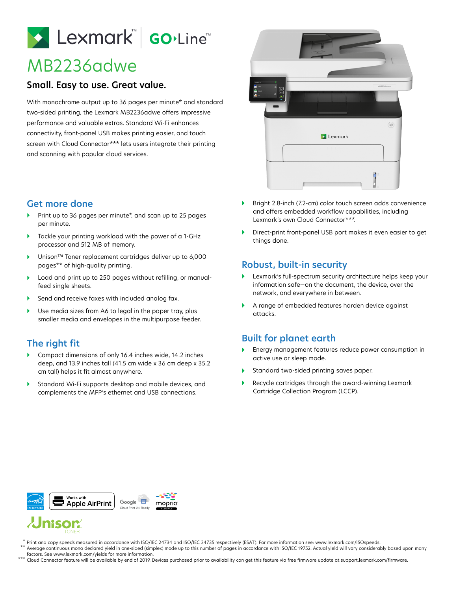# Lexmark Go.Line

### MB2236adwe

#### **Small. Easy to use. Great value.**

With monochrome output up to 36 pages per minute\* and standard two-sided printing, the Lexmark MB2236adwe offers impressive performance and valuable extras. Standard Wi-Fi enhances connectivity, front-panel USB makes printing easier, and touch screen with Cloud Connector\*\*\* lets users integrate their printing and scanning with popular cloud services.

#### **Get more done**

- Print up to 36 pages per minute\*, and scan up to 25 pages per minute.
- Tackle your printing workload with the power of a 1-GHz processor and 512 MB of memory.
- Unison™ Toner replacement cartridges deliver up to 6,000 pages\*\* of high-quality printing.
- Load and print up to 250 pages without refilling, or manualfeed single sheets.
- Send and receive faxes with included analog fax.
- ▶ Use media sizes from A6 to legal in the paper tray, plus smaller media and envelopes in the multipurpose feeder.

#### **The right fit**

- Compact dimensions of only 16.4 inches wide, 14.2 inches deep, and 13.9 inches tall (41.5 cm wide x 36 cm deep x 35.2 cm tall) helps it fit almost anywhere.
- Standard Wi-Fi supports desktop and mobile devices, and complements the MFP's ethernet and USB connections.



- Bright 2.8-inch (7.2-cm) color touch screen adds convenience and offers embedded workflow capabilities, including Lexmark's own Cloud Connector\*\*\*.
- Direct-print front-panel USB port makes it even easier to get things done.

#### **Robust, built-in security**

- Lexmark's full-spectrum security architecture helps keep your information safe—on the document, the device, over the network, and everywhere in between.
- A range of embedded features harden device against attacks.

#### **Built for planet earth**

- Energy management features reduce power consumption in active use or sleep mode.
- Standard two-sided printing saves paper.
- Recycle cartridges through the award-winning Lexmark Cartridge Collection Program (LCCP).



## **Jnisor®**

- Print and copy speeds measured in accordance with ISO/IEC 24734 and ISO/IEC 24735 respectively (ESAT). For more information see: www.lexmark.com/ISOspeeds. Average continuous mono declared yield in one-sided (simplex) mode up to this number of pages in accordance with ISO/IEC 19752. Actual yield will vary considerably based upon many factors. See www.lexmark.com/yields for more information. \* \*\*
- Cloud Connector feature will be available by end of 2019. Devices purchased prior to availability can get this feature via free firmware update at support.lexmark.com/firmware. \*\*\*